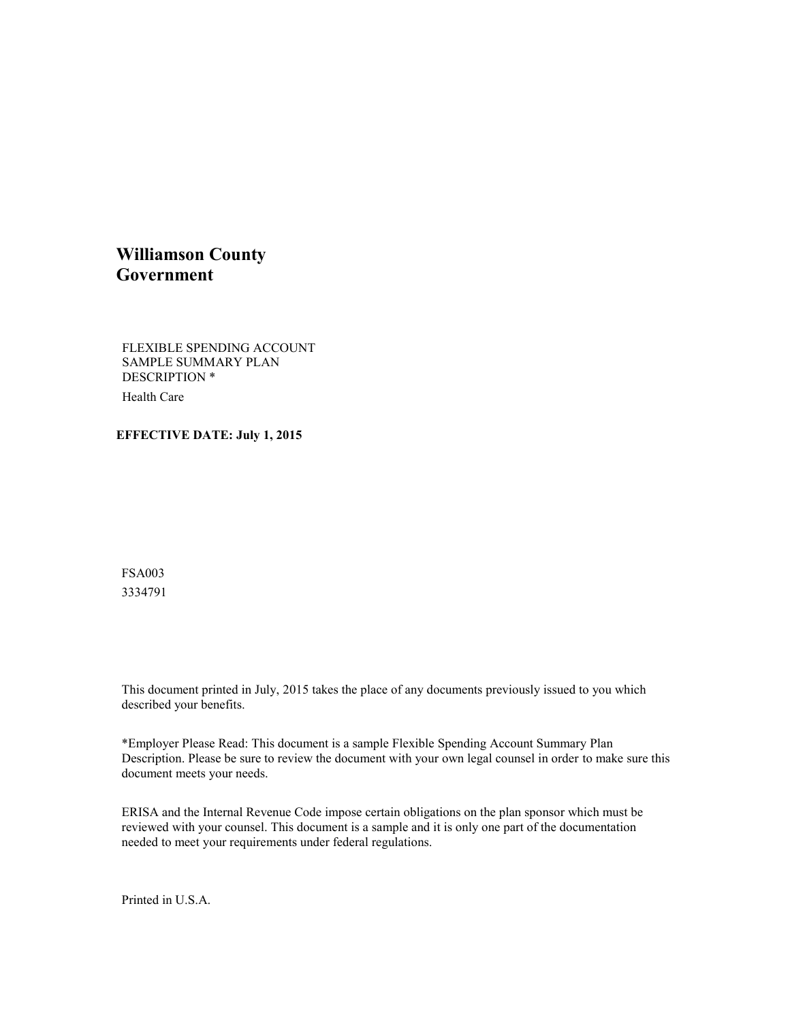## **Williamson County Government**

FLEXIBLE SPENDING ACCOUNT SAMPLE SUMMARY PLAN DESCRIPTION \* Health Care

#### **EFFECTIVE DATE: July 1, 2015**

FSA003 3334791

This document printed in July, 2015 takes the place of any documents previously issued to you which described your benefits.

\*Employer Please Read: This document is a sample Flexible Spending Account Summary Plan Description. Please be sure to review the document with your own legal counsel in order to make sure this document meets your needs.

ERISA and the Internal Revenue Code impose certain obligations on the plan sponsor which must be reviewed with your counsel. This document is a sample and it is only one part of the documentation needed to meet your requirements under federal regulations.

Printed in U.S.A.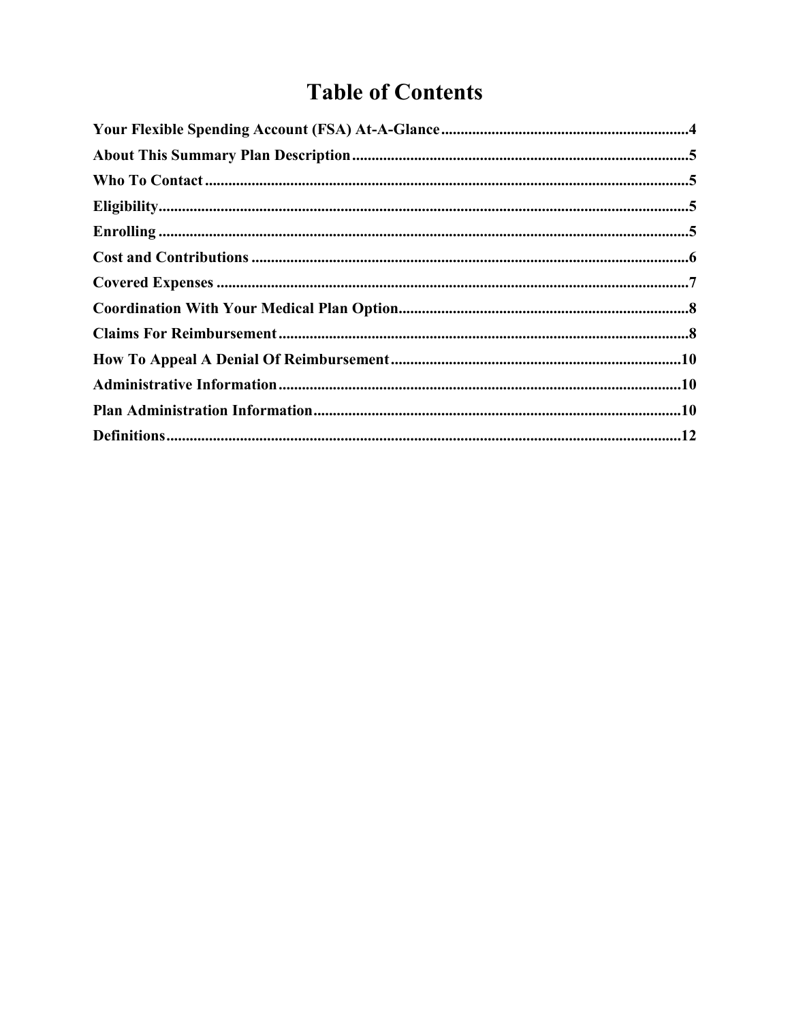# **Table of Contents**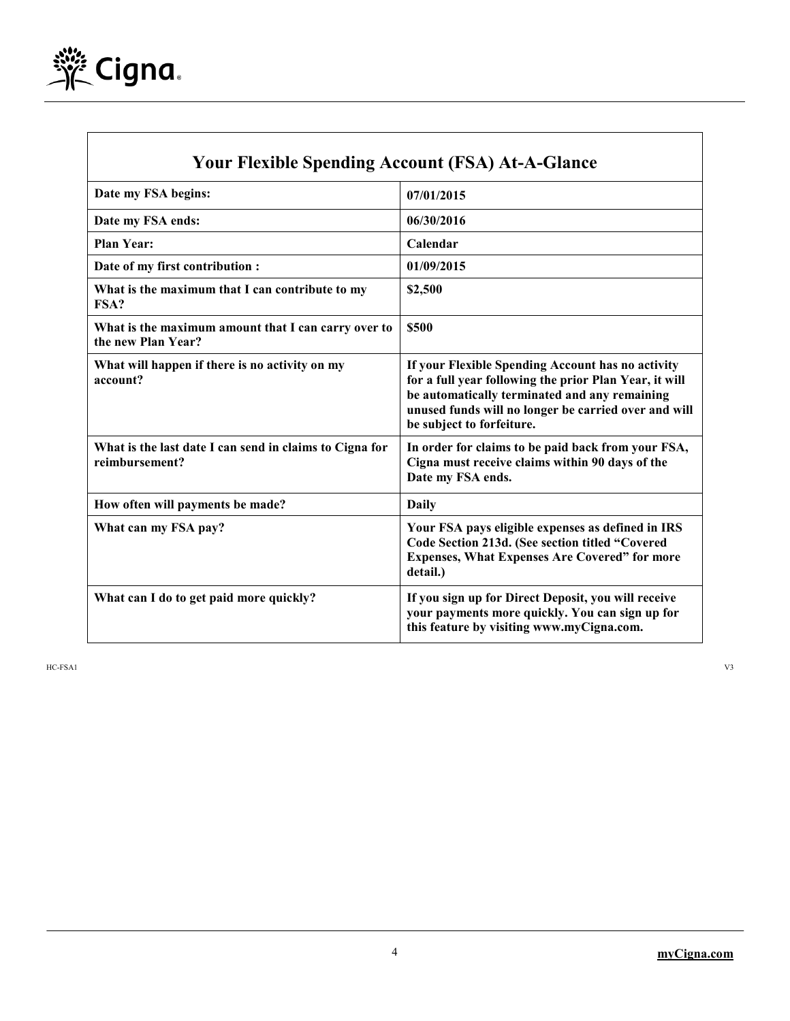

 $\mathsf{l}$ 

| <b>Your Flexible Spending Account (FSA) At-A-Glance</b>                   |                                                                                                                                                                                                                                                   |  |
|---------------------------------------------------------------------------|---------------------------------------------------------------------------------------------------------------------------------------------------------------------------------------------------------------------------------------------------|--|
| Date my FSA begins:                                                       | 07/01/2015                                                                                                                                                                                                                                        |  |
| Date my FSA ends:                                                         | 06/30/2016                                                                                                                                                                                                                                        |  |
| <b>Plan Year:</b>                                                         | Calendar                                                                                                                                                                                                                                          |  |
| Date of my first contribution :                                           | 01/09/2015                                                                                                                                                                                                                                        |  |
| What is the maximum that I can contribute to my<br>FSA?                   | \$2,500                                                                                                                                                                                                                                           |  |
| What is the maximum amount that I can carry over to<br>the new Plan Year? | \$500                                                                                                                                                                                                                                             |  |
| What will happen if there is no activity on my<br>account?                | If your Flexible Spending Account has no activity<br>for a full year following the prior Plan Year, it will<br>be automatically terminated and any remaining<br>unused funds will no longer be carried over and will<br>be subject to forfeiture. |  |
| What is the last date I can send in claims to Cigna for<br>reimbursement? | In order for claims to be paid back from your FSA,<br>Cigna must receive claims within 90 days of the<br>Date my FSA ends.                                                                                                                        |  |
| How often will payments be made?                                          | Daily                                                                                                                                                                                                                                             |  |
| What can my FSA pay?                                                      | Your FSA pays eligible expenses as defined in IRS<br>Code Section 213d. (See section titled "Covered<br><b>Expenses, What Expenses Are Covered" for more</b><br>detail.)                                                                          |  |
| What can I do to get paid more quickly?                                   | If you sign up for Direct Deposit, you will receive<br>your payments more quickly. You can sign up for<br>this feature by visiting www.myCigna.com.                                                                                               |  |

HC-FSA1 V3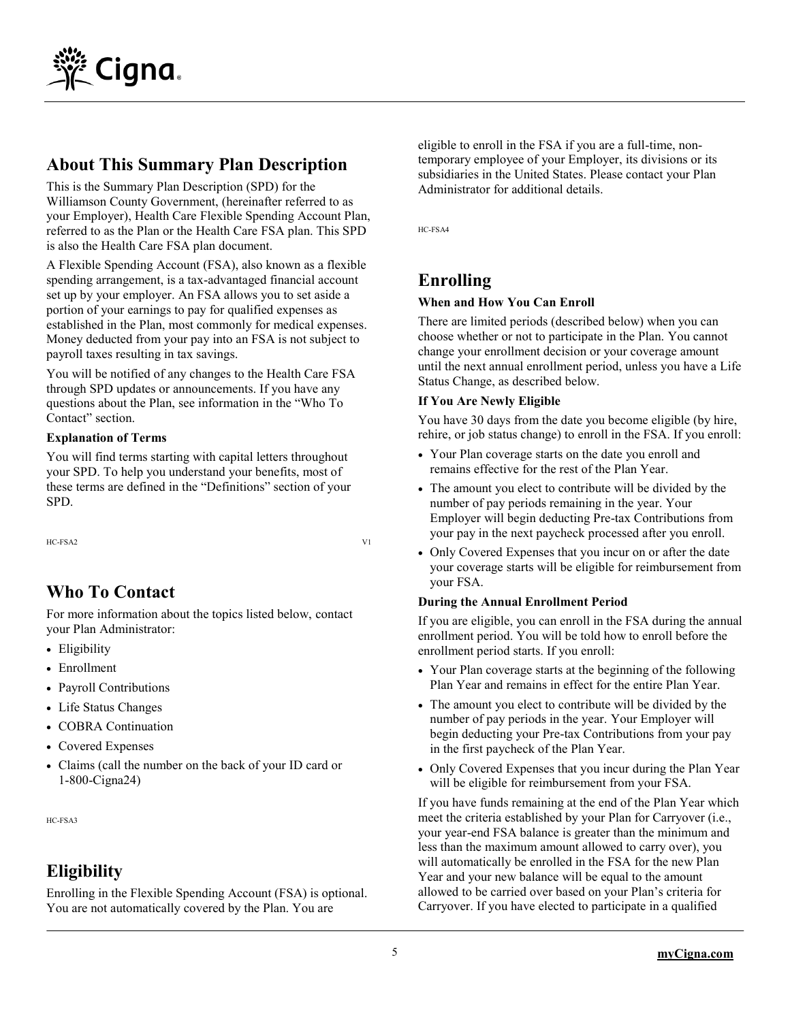

## **About This Summary Plan Description**

This is the Summary Plan Description (SPD) for the Williamson County Government, (hereinafter referred to as your Employer), Health Care Flexible Spending Account Plan, referred to as the Plan or the Health Care FSA plan. This SPD is also the Health Care FSA plan document.

A Flexible Spending Account (FSA), also known as a flexible spending arrangement, is a tax-advantaged financial account set up by your employer. An FSA allows you to set aside a portion of your earnings to pay for qualified expenses as established in the Plan, most commonly for medical expenses. Money deducted from your pay into an FSA is not subject to payroll taxes resulting in tax savings.

You will be notified of any changes to the Health Care FSA through SPD updates or announcements. If you have any questions about the Plan, see information in the "Who To Contact" section.

#### **Explanation of Terms**

You will find terms starting with capital letters throughout your SPD. To help you understand your benefits, most of these terms are defined in the "Definitions" section of your SPD.

HC-FSA2 V1

## **Who To Contact**

For more information about the topics listed below, contact your Plan Administrator:

- Eligibility
- Enrollment
- Payroll Contributions
- Life Status Changes
- COBRA Continuation
- Covered Expenses
- Claims (call the number on the back of your ID card or 1-800-Cigna24)

HC-FSA3

## **Eligibility**

Enrolling in the Flexible Spending Account (FSA) is optional. You are not automatically covered by the Plan. You are

eligible to enroll in the FSA if you are a full-time, nontemporary employee of your Employer, its divisions or its subsidiaries in the United States. Please contact your Plan Administrator for additional details.

HC-FSA4

## **Enrolling**

#### **When and How You Can Enroll**

There are limited periods (described below) when you can choose whether or not to participate in the Plan. You cannot change your enrollment decision or your coverage amount until the next annual enrollment period, unless you have a Life Status Change, as described below.

#### **If You Are Newly Eligible**

You have 30 days from the date you become eligible (by hire, rehire, or job status change) to enroll in the FSA. If you enroll:

- Your Plan coverage starts on the date you enroll and remains effective for the rest of the Plan Year.
- The amount you elect to contribute will be divided by the number of pay periods remaining in the year. Your Employer will begin deducting Pre-tax Contributions from your pay in the next paycheck processed after you enroll.
- Only Covered Expenses that you incur on or after the date your coverage starts will be eligible for reimbursement from your FSA.

#### **During the Annual Enrollment Period**

If you are eligible, you can enroll in the FSA during the annual enrollment period. You will be told how to enroll before the enrollment period starts. If you enroll:

- Your Plan coverage starts at the beginning of the following Plan Year and remains in effect for the entire Plan Year.
- The amount you elect to contribute will be divided by the number of pay periods in the year. Your Employer will begin deducting your Pre-tax Contributions from your pay in the first paycheck of the Plan Year.
- Only Covered Expenses that you incur during the Plan Year will be eligible for reimbursement from your FSA.

If you have funds remaining at the end of the Plan Year which meet the criteria established by your Plan for Carryover (i.e., your year-end FSA balance is greater than the minimum and less than the maximum amount allowed to carry over), you will automatically be enrolled in the FSA for the new Plan Year and your new balance will be equal to the amount allowed to be carried over based on your Plan's criteria for Carryover. If you have elected to participate in a qualified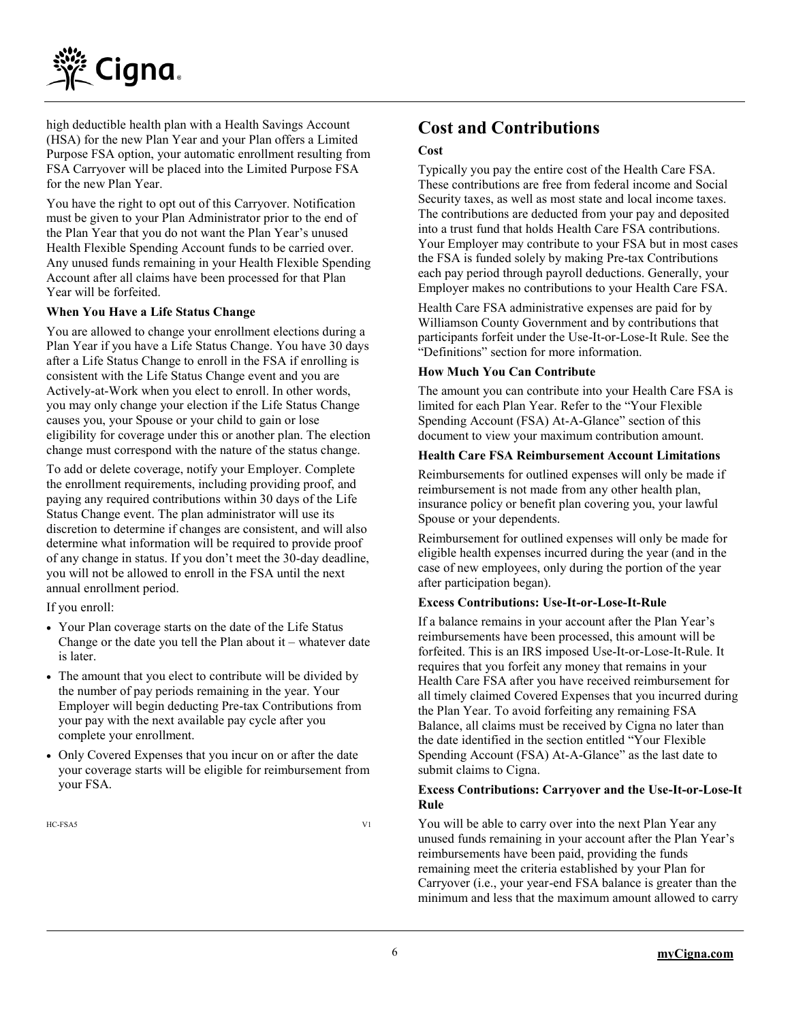

high deductible health plan with a Health Savings Account (HSA) for the new Plan Year and your Plan offers a Limited Purpose FSA option, your automatic enrollment resulting from FSA Carryover will be placed into the Limited Purpose FSA for the new Plan Year.

You have the right to opt out of this Carryover. Notification must be given to your Plan Administrator prior to the end of the Plan Year that you do not want the Plan Year's unused Health Flexible Spending Account funds to be carried over. Any unused funds remaining in your Health Flexible Spending Account after all claims have been processed for that Plan Year will be forfeited.

#### **When You Have a Life Status Change**

You are allowed to change your enrollment elections during a Plan Year if you have a Life Status Change. You have 30 days after a Life Status Change to enroll in the FSA if enrolling is consistent with the Life Status Change event and you are Actively-at-Work when you elect to enroll. In other words, you may only change your election if the Life Status Change causes you, your Spouse or your child to gain or lose eligibility for coverage under this or another plan. The election change must correspond with the nature of the status change.

To add or delete coverage, notify your Employer. Complete the enrollment requirements, including providing proof, and paying any required contributions within 30 days of the Life Status Change event. The plan administrator will use its discretion to determine if changes are consistent, and will also determine what information will be required to provide proof of any change in status. If you don't meet the 30-day deadline, you will not be allowed to enroll in the FSA until the next annual enrollment period.

If you enroll:

- Your Plan coverage starts on the date of the Life Status Change or the date you tell the Plan about it – whatever date is later.
- The amount that you elect to contribute will be divided by the number of pay periods remaining in the year. Your Employer will begin deducting Pre-tax Contributions from your pay with the next available pay cycle after you complete your enrollment.
- Only Covered Expenses that you incur on or after the date your coverage starts will be eligible for reimbursement from your FSA.

HC-FSA5 V1

## **Cost and Contributions**

#### **Cost**

Typically you pay the entire cost of the Health Care FSA. These contributions are free from federal income and Social Security taxes, as well as most state and local income taxes. The contributions are deducted from your pay and deposited into a trust fund that holds Health Care FSA contributions. Your Employer may contribute to your FSA but in most cases the FSA is funded solely by making Pre-tax Contributions each pay period through payroll deductions. Generally, your Employer makes no contributions to your Health Care FSA.

Health Care FSA administrative expenses are paid for by Williamson County Government and by contributions that participants forfeit under the Use-It-or-Lose-It Rule. See the "Definitions" section for more information.

#### **How Much You Can Contribute**

The amount you can contribute into your Health Care FSA is limited for each Plan Year. Refer to the "Your Flexible Spending Account (FSA) At-A-Glance" section of this document to view your maximum contribution amount.

#### **Health Care FSA Reimbursement Account Limitations**

Reimbursements for outlined expenses will only be made if reimbursement is not made from any other health plan, insurance policy or benefit plan covering you, your lawful Spouse or your dependents.

Reimbursement for outlined expenses will only be made for eligible health expenses incurred during the year (and in the case of new employees, only during the portion of the year after participation began).

#### **Excess Contributions: Use-It-or-Lose-It-Rule**

If a balance remains in your account after the Plan Year's reimbursements have been processed, this amount will be forfeited. This is an IRS imposed Use-It-or-Lose-It-Rule. It requires that you forfeit any money that remains in your Health Care FSA after you have received reimbursement for all timely claimed Covered Expenses that you incurred during the Plan Year. To avoid forfeiting any remaining FSA Balance, all claims must be received by Cigna no later than the date identified in the section entitled "Your Flexible Spending Account (FSA) At-A-Glance" as the last date to submit claims to Cigna.

#### **Excess Contributions: Carryover and the Use-It-or-Lose-It Rule**

You will be able to carry over into the next Plan Year any unused funds remaining in your account after the Plan Year's reimbursements have been paid, providing the funds remaining meet the criteria established by your Plan for Carryover (i.e., your year-end FSA balance is greater than the minimum and less that the maximum amount allowed to carry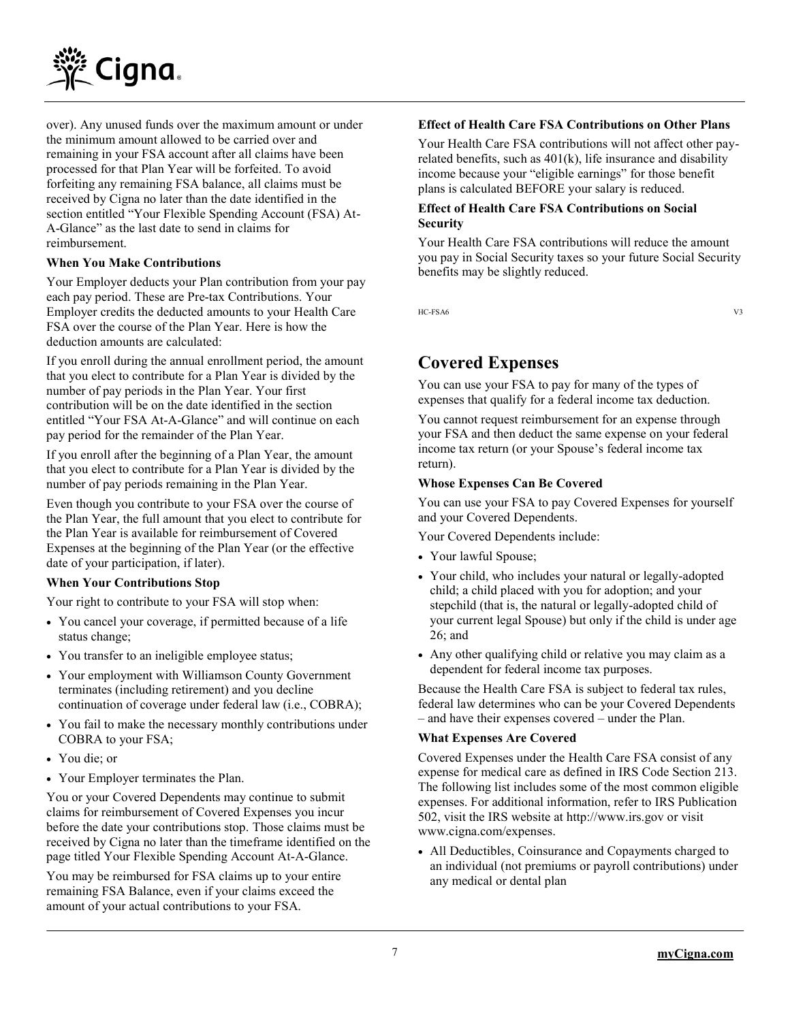

over). Any unused funds over the maximum amount or under the minimum amount allowed to be carried over and remaining in your FSA account after all claims have been processed for that Plan Year will be forfeited. To avoid forfeiting any remaining FSA balance, all claims must be received by Cigna no later than the date identified in the section entitled "Your Flexible Spending Account (FSA) At-A-Glance" as the last date to send in claims for reimbursement.

#### **When You Make Contributions**

Your Employer deducts your Plan contribution from your pay each pay period. These are Pre-tax Contributions. Your Employer credits the deducted amounts to your Health Care FSA over the course of the Plan Year. Here is how the deduction amounts are calculated:

If you enroll during the annual enrollment period, the amount that you elect to contribute for a Plan Year is divided by the number of pay periods in the Plan Year. Your first contribution will be on the date identified in the section entitled "Your FSA At-A-Glance" and will continue on each pay period for the remainder of the Plan Year.

If you enroll after the beginning of a Plan Year, the amount that you elect to contribute for a Plan Year is divided by the number of pay periods remaining in the Plan Year.

Even though you contribute to your FSA over the course of the Plan Year, the full amount that you elect to contribute for the Plan Year is available for reimbursement of Covered Expenses at the beginning of the Plan Year (or the effective date of your participation, if later).

#### **When Your Contributions Stop**

Your right to contribute to your FSA will stop when:

- You cancel your coverage, if permitted because of a life status change;
- You transfer to an ineligible employee status;
- Your employment with Williamson County Government terminates (including retirement) and you decline continuation of coverage under federal law (i.e., COBRA);
- You fail to make the necessary monthly contributions under COBRA to your FSA;
- You die; or
- Your Employer terminates the Plan.

You or your Covered Dependents may continue to submit claims for reimbursement of Covered Expenses you incur before the date your contributions stop. Those claims must be received by Cigna no later than the timeframe identified on the page titled Your Flexible Spending Account At-A-Glance.

You may be reimbursed for FSA claims up to your entire remaining FSA Balance, even if your claims exceed the amount of your actual contributions to your FSA.

#### **Effect of Health Care FSA Contributions on Other Plans**

Your Health Care FSA contributions will not affect other payrelated benefits, such as 401(k), life insurance and disability income because your "eligible earnings" for those benefit plans is calculated BEFORE your salary is reduced.

#### **Effect of Health Care FSA Contributions on Social Security**

Your Health Care FSA contributions will reduce the amount you pay in Social Security taxes so your future Social Security benefits may be slightly reduced.

HC-FSA6 V3

## **Covered Expenses**

You can use your FSA to pay for many of the types of expenses that qualify for a federal income tax deduction.

You cannot request reimbursement for an expense through your FSA and then deduct the same expense on your federal income tax return (or your Spouse's federal income tax return).

#### **Whose Expenses Can Be Covered**

You can use your FSA to pay Covered Expenses for yourself and your Covered Dependents.

Your Covered Dependents include:

- Your lawful Spouse;
- Your child, who includes your natural or legally-adopted child; a child placed with you for adoption; and your stepchild (that is, the natural or legally-adopted child of your current legal Spouse) but only if the child is under age 26; and
- Any other qualifying child or relative you may claim as a dependent for federal income tax purposes.

Because the Health Care FSA is subject to federal tax rules, federal law determines who can be your Covered Dependents – and have their expenses covered – under the Plan.

#### **What Expenses Are Covered**

Covered Expenses under the Health Care FSA consist of any expense for medical care as defined in IRS Code Section 213. The following list includes some of the most common eligible expenses. For additional information, refer to IRS Publication 502, visit the IRS website at [http://www.irs.gov](http://www.irs.gov/) or visit [www.cigna.com/](http://www.cigna.com/)expenses.

 All Deductibles, Coinsurance and Copayments charged to an individual (not premiums or payroll contributions) under any medical or dental plan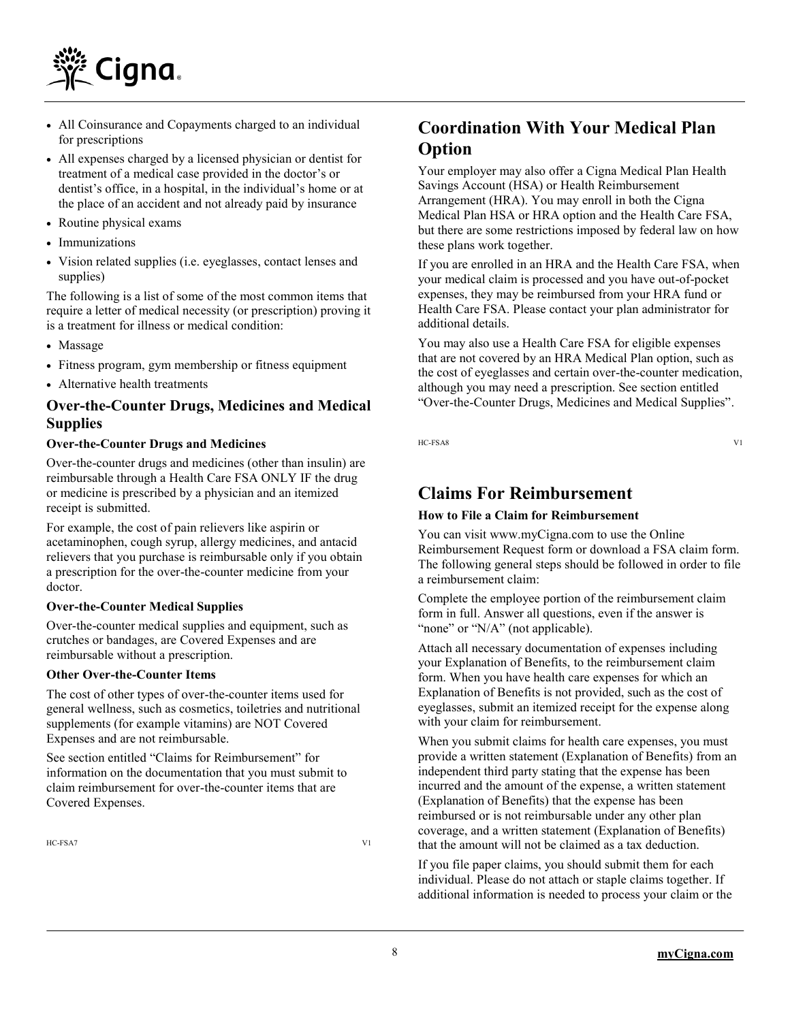

- All Coinsurance and Copayments charged to an individual for prescriptions
- All expenses charged by a licensed physician or dentist for treatment of a medical case provided in the doctor's or dentist's office, in a hospital, in the individual's home or at the place of an accident and not already paid by insurance
- Routine physical exams
- Immunizations
- Vision related supplies (i.e. eyeglasses, contact lenses and supplies)

The following is a list of some of the most common items that require a letter of medical necessity (or prescription) proving it is a treatment for illness or medical condition:

- Massage
- Fitness program, gym membership or fitness equipment
- Alternative health treatments

#### **Over-the-Counter Drugs, Medicines and Medical Supplies**

#### **Over-the-Counter Drugs and Medicines**

Over-the-counter drugs and medicines (other than insulin) are reimbursable through a Health Care FSA ONLY IF the drug or medicine is prescribed by a physician and an itemized receipt is submitted.

For example, the cost of pain relievers like aspirin or acetaminophen, cough syrup, allergy medicines, and antacid relievers that you purchase is reimbursable only if you obtain a prescription for the over-the-counter medicine from your doctor.

#### **Over-the-Counter Medical Supplies**

Over-the-counter medical supplies and equipment, such as crutches or bandages, are Covered Expenses and are reimbursable without a prescription.

#### **Other Over-the-Counter Items**

The cost of other types of over-the-counter items used for general wellness, such as cosmetics, toiletries and nutritional supplements (for example vitamins) are NOT Covered Expenses and are not reimbursable.

See section entitled "Claims for Reimbursement" for information on the documentation that you must submit to claim reimbursement for over-the-counter items that are Covered Expenses.

HC-FSA7 V1

## **Coordination With Your Medical Plan Option**

Your employer may also offer a Cigna Medical Plan Health Savings Account (HSA) or Health Reimbursement Arrangement (HRA). You may enroll in both the Cigna Medical Plan HSA or HRA option and the Health Care FSA, but there are some restrictions imposed by federal law on how these plans work together.

If you are enrolled in an HRA and the Health Care FSA, when your medical claim is processed and you have out-of-pocket expenses, they may be reimbursed from your HRA fund or Health Care FSA. Please contact your plan administrator for additional details.

You may also use a Health Care FSA for eligible expenses that are not covered by an HRA Medical Plan option, such as the cost of eyeglasses and certain over-the-counter medication, although you may need a prescription. See section entitled "Over-the-Counter Drugs, Medicines and Medical Supplies".

HC-FSA8 V1

## **Claims For Reimbursement**

#### **How to File a Claim for Reimbursement**

You can visit www[.myCigna.com](http://mycigna.com/) to use the Online Reimbursement Request form or download a FSA claim form. The following general steps should be followed in order to file a reimbursement claim:

Complete the employee portion of the reimbursement claim form in full. Answer all questions, even if the answer is "none" or "N/A" (not applicable).

Attach all necessary documentation of expenses including your Explanation of Benefits, to the reimbursement claim form. When you have health care expenses for which an Explanation of Benefits is not provided, such as the cost of eyeglasses, submit an itemized receipt for the expense along with your claim for reimbursement.

When you submit claims for health care expenses, you must provide a written statement (Explanation of Benefits) from an independent third party stating that the expense has been incurred and the amount of the expense, a written statement (Explanation of Benefits) that the expense has been reimbursed or is not reimbursable under any other plan coverage, and a written statement (Explanation of Benefits) that the amount will not be claimed as a tax deduction.

If you file paper claims, you should submit them for each individual. Please do not attach or staple claims together. If additional information is needed to process your claim or the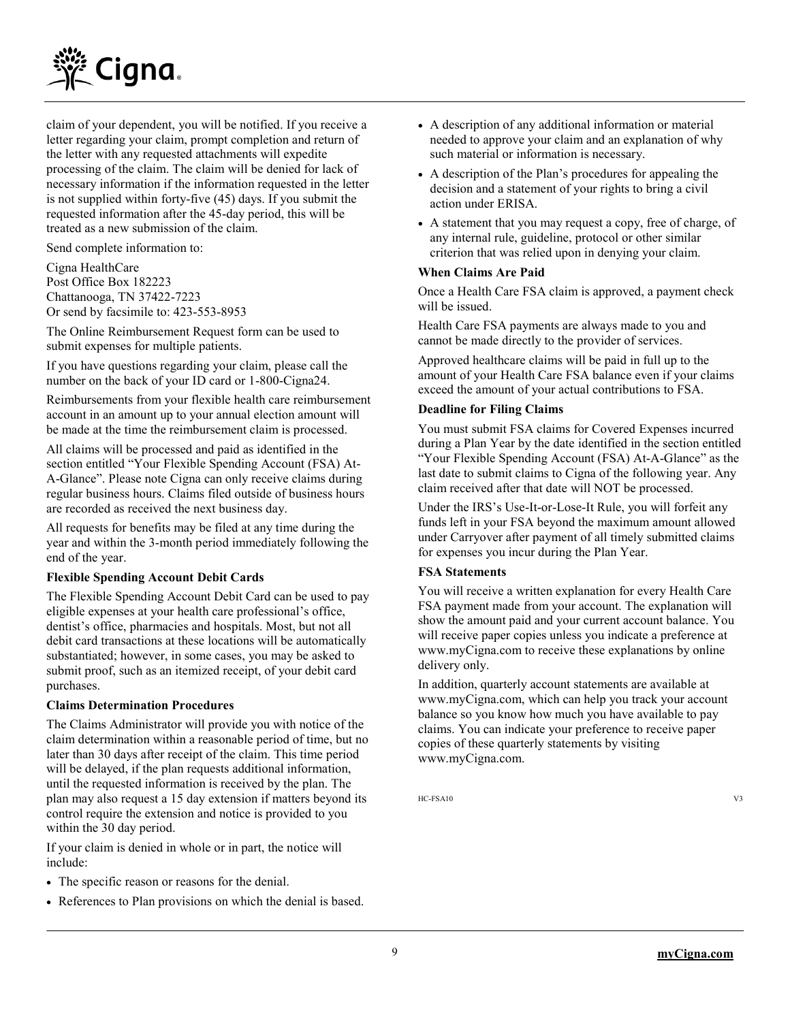

claim of your dependent, you will be notified. If you receive a letter regarding your claim, prompt completion and return of the letter with any requested attachments will expedite processing of the claim. The claim will be denied for lack of necessary information if the information requested in the letter is not supplied within forty-five (45) days. If you submit the requested information after the 45-day period, this will be treated as a new submission of the claim.

Send complete information to:

Cigna HealthCare Post Office Box 182223 Chattanooga, TN 37422-7223 Or send by facsimile to: 423-553-8953

The Online Reimbursement Request form can be used to submit expenses for multiple patients.

If you have questions regarding your claim, please call the number on the back of your ID card or 1-800-Cigna24.

Reimbursements from your flexible health care reimbursement account in an amount up to your annual election amount will be made at the time the reimbursement claim is processed.

All claims will be processed and paid as identified in the section entitled "Your Flexible Spending Account (FSA) At-A-Glance". Please note Cigna can only receive claims during regular business hours. Claims filed outside of business hours are recorded as received the next business day.

All requests for benefits may be filed at any time during the year and within the 3-month period immediately following the end of the year.

#### **Flexible Spending Account Debit Cards**

The Flexible Spending Account Debit Card can be used to pay eligible expenses at your health care professional's office, dentist's office, pharmacies and hospitals. Most, but not all debit card transactions at these locations will be automatically substantiated; however, in some cases, you may be asked to submit proof, such as an itemized receipt, of your debit card purchases.

#### **Claims Determination Procedures**

The Claims Administrator will provide you with notice of the claim determination within a reasonable period of time, but no later than 30 days after receipt of the claim. This time period will be delayed, if the plan requests additional information, until the requested information is received by the plan. The plan may also request a 15 day extension if matters beyond its control require the extension and notice is provided to you within the 30 day period.

If your claim is denied in whole or in part, the notice will include:

- The specific reason or reasons for the denial.
- References to Plan provisions on which the denial is based.
- A description of any additional information or material needed to approve your claim and an explanation of why such material or information is necessary.
- A description of the Plan's procedures for appealing the decision and a statement of your rights to bring a civil action under ERISA.
- A statement that you may request a copy, free of charge, of any internal rule, guideline, protocol or other similar criterion that was relied upon in denying your claim.

#### **When Claims Are Paid**

Once a Health Care FSA claim is approved, a payment check will be issued.

Health Care FSA payments are always made to you and cannot be made directly to the provider of services.

Approved healthcare claims will be paid in full up to the amount of your Health Care FSA balance even if your claims exceed the amount of your actual contributions to FSA.

#### **Deadline for Filing Claims**

You must submit FSA claims for Covered Expenses incurred during a Plan Year by the date identified in the section entitled "Your Flexible Spending Account (FSA) At-A-Glance" as the last date to submit claims to Cigna of the following year. Any claim received after that date will NOT be processed.

Under the IRS's Use-It-or-Lose-It Rule, you will forfeit any funds left in your FSA beyond the maximum amount allowed under Carryover after payment of all timely submitted claims for expenses you incur during the Plan Year.

#### **FSA Statements**

You will receive a written explanation for every Health Care FSA payment made from your account. The explanation will show the amount paid and your current account balance. You will receive paper copies unless you indicate a preference at www.myCigna.com to receive these explanations by online delivery only.

In addition, quarterly account statements are available at www.myCigna.com, which can help you track your account balance so you know how much you have available to pay claims. You can indicate your preference to receive paper copies of these quarterly statements by visiting www.myCigna.com.

HC-FSA10 V3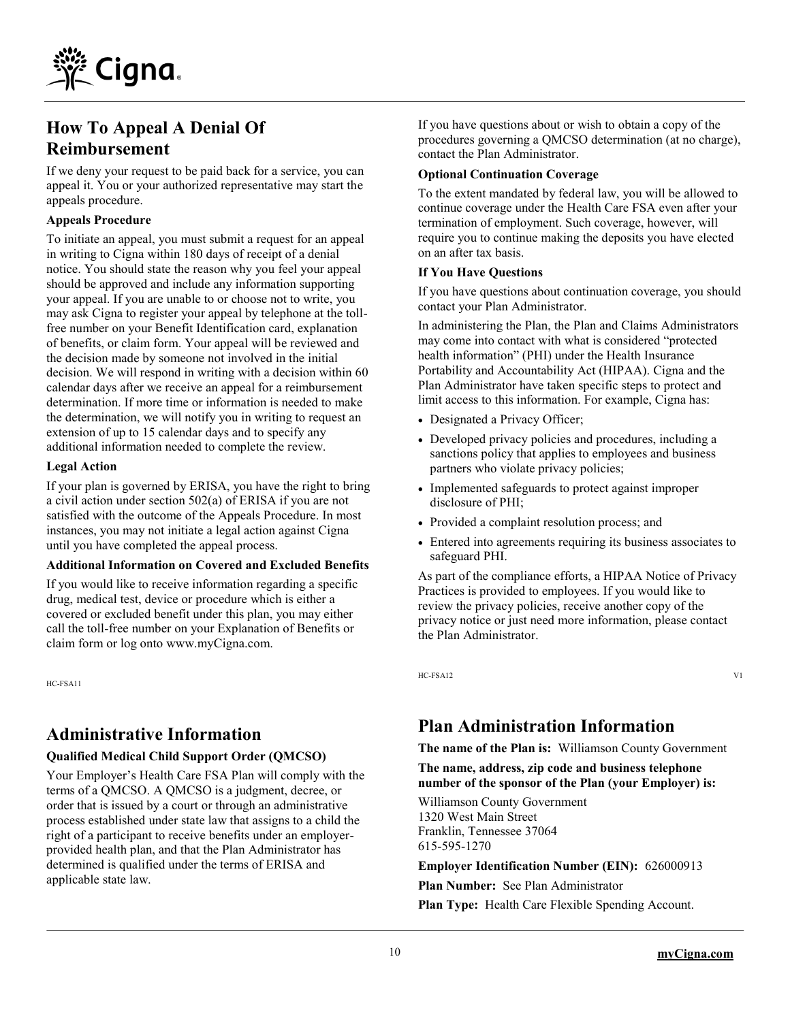

## **How To Appeal A Denial Of Reimbursement**

If we deny your request to be paid back for a service, you can appeal it. You or your authorized representative may start the appeals procedure.

#### **Appeals Procedure**

To initiate an appeal, you must submit a request for an appeal in writing to Cigna within 180 days of receipt of a denial notice. You should state the reason why you feel your appeal should be approved and include any information supporting your appeal. If you are unable to or choose not to write, you may ask Cigna to register your appeal by telephone at the tollfree number on your Benefit Identification card, explanation of benefits, or claim form. Your appeal will be reviewed and the decision made by someone not involved in the initial decision. We will respond in writing with a decision within 60 calendar days after we receive an appeal for a reimbursement determination. If more time or information is needed to make the determination, we will notify you in writing to request an extension of up to 15 calendar days and to specify any additional information needed to complete the review.

#### **Legal Action**

If your plan is governed by ERISA, you have the right to bring a civil action under section 502(a) of ERISA if you are not satisfied with the outcome of the Appeals Procedure. In most instances, you may not initiate a legal action against Cigna until you have completed the appeal process.

#### **Additional Information on Covered and Excluded Benefits**

If you would like to receive information regarding a specific drug, medical test, device or procedure which is either a covered or excluded benefit under this plan, you may either call the toll-free number on your Explanation of Benefits or claim form or log onto www.myCigna.com.

HC-FSA11

## **Administrative Information**

#### **Qualified Medical Child Support Order (QMCSO)**

Your Employer's Health Care FSA Plan will comply with the terms of a QMCSO. A QMCSO is a judgment, decree, or order that is issued by a court or through an administrative process established under state law that assigns to a child the right of a participant to receive benefits under an employerprovided health plan, and that the Plan Administrator has determined is qualified under the terms of ERISA and applicable state law.

If you have questions about or wish to obtain a copy of the procedures governing a QMCSO determination (at no charge), contact the Plan Administrator.

#### **Optional Continuation Coverage**

To the extent mandated by federal law, you will be allowed to continue coverage under the Health Care FSA even after your termination of employment. Such coverage, however, will require you to continue making the deposits you have elected on an after tax basis.

#### **If You Have Questions**

If you have questions about continuation coverage, you should contact your Plan Administrator.

In administering the Plan, the Plan and Claims Administrators may come into contact with what is considered "protected health information" (PHI) under the Health Insurance Portability and Accountability Act (HIPAA). Cigna and the Plan Administrator have taken specific steps to protect and limit access to this information. For example, Cigna has:

- Designated a Privacy Officer;
- Developed privacy policies and procedures, including a sanctions policy that applies to employees and business partners who violate privacy policies;
- Implemented safeguards to protect against improper disclosure of PHI;
- Provided a complaint resolution process; and
- Entered into agreements requiring its business associates to safeguard PHI.

As part of the compliance efforts, a HIPAA Notice of Privacy Practices is provided to employees. If you would like to review the privacy policies, receive another copy of the privacy notice or just need more information, please contact the Plan Administrator.

HC-FSA12 V1

## **Plan Administration Information**

**The name of the Plan is:** Williamson County Government

**The name, address, zip code and business telephone number of the sponsor of the Plan (your Employer) is:**

Williamson County Government 1320 West Main Street Franklin, Tennessee 37064 615-595-1270

**Employer Identification Number (EIN):** 626000913

**Plan Number:** See Plan Administrator

**Plan Type:** Health Care Flexible Spending Account.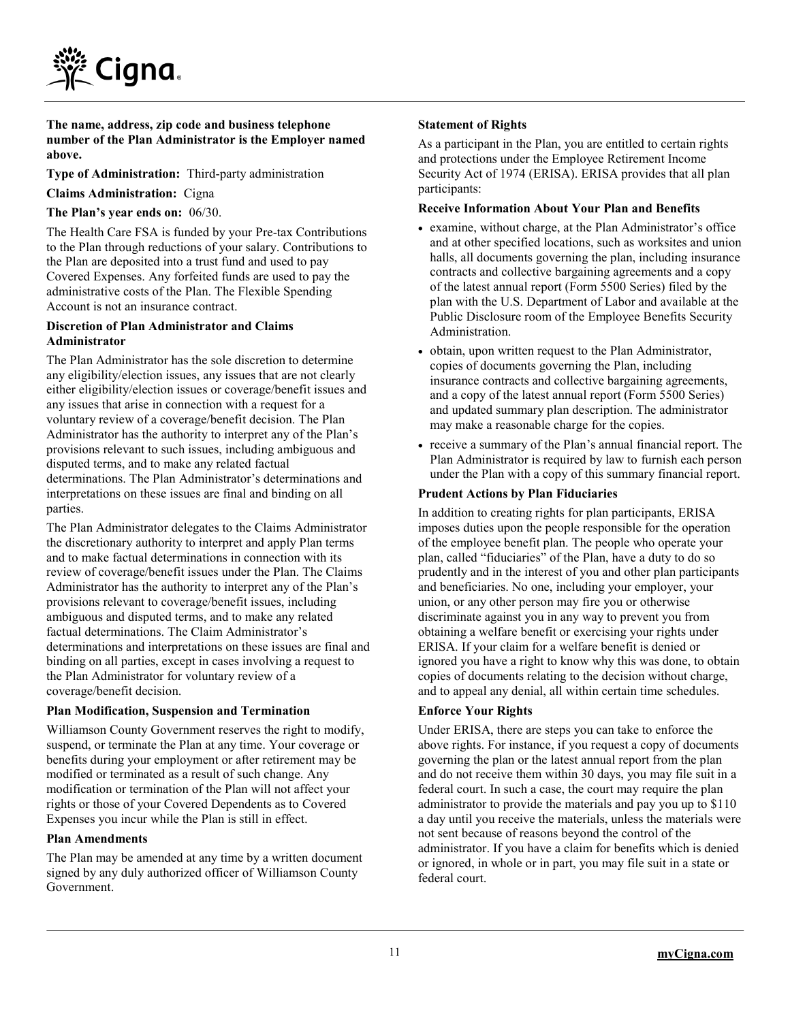

**The name, address, zip code and business telephone number of the Plan Administrator is the Employer named above.**

**Type of Administration:** Third-party administration

**Claims Administration:** Cigna

**The Plan's year ends on:** 06/30.

The Health Care FSA is funded by your Pre-tax Contributions to the Plan through reductions of your salary. Contributions to the Plan are deposited into a trust fund and used to pay Covered Expenses. Any forfeited funds are used to pay the administrative costs of the Plan. The Flexible Spending Account is not an insurance contract.

#### **Discretion of Plan Administrator and Claims Administrator**

The Plan Administrator has the sole discretion to determine any eligibility/election issues, any issues that are not clearly either eligibility/election issues or coverage/benefit issues and any issues that arise in connection with a request for a voluntary review of a coverage/benefit decision. The Plan Administrator has the authority to interpret any of the Plan's provisions relevant to such issues, including ambiguous and disputed terms, and to make any related factual determinations. The Plan Administrator's determinations and interpretations on these issues are final and binding on all parties.

The Plan Administrator delegates to the Claims Administrator the discretionary authority to interpret and apply Plan terms and to make factual determinations in connection with its review of coverage/benefit issues under the Plan. The Claims Administrator has the authority to interpret any of the Plan's provisions relevant to coverage/benefit issues, including ambiguous and disputed terms, and to make any related factual determinations. The Claim Administrator's determinations and interpretations on these issues are final and binding on all parties, except in cases involving a request to the Plan Administrator for voluntary review of a coverage/benefit decision.

#### **Plan Modification, Suspension and Termination**

Williamson County Government reserves the right to modify, suspend, or terminate the Plan at any time. Your coverage or benefits during your employment or after retirement may be modified or terminated as a result of such change. Any modification or termination of the Plan will not affect your rights or those of your Covered Dependents as to Covered Expenses you incur while the Plan is still in effect.

#### **Plan Amendments**

The Plan may be amended at any time by a written document signed by any duly authorized officer of Williamson County Government.

#### **Statement of Rights**

As a participant in the Plan, you are entitled to certain rights and protections under the Employee Retirement Income Security Act of 1974 (ERISA). ERISA provides that all plan participants:

#### **Receive Information About Your Plan and Benefits**

- examine, without charge, at the Plan Administrator's office and at other specified locations, such as worksites and union halls, all documents governing the plan, including insurance contracts and collective bargaining agreements and a copy of the latest annual report (Form 5500 Series) filed by the plan with the U.S. Department of Labor and available at the Public Disclosure room of the Employee Benefits Security Administration.
- obtain, upon written request to the Plan Administrator, copies of documents governing the Plan, including insurance contracts and collective bargaining agreements, and a copy of the latest annual report (Form 5500 Series) and updated summary plan description. The administrator may make a reasonable charge for the copies.
- receive a summary of the Plan's annual financial report. The Plan Administrator is required by law to furnish each person under the Plan with a copy of this summary financial report.

#### **Prudent Actions by Plan Fiduciaries**

In addition to creating rights for plan participants, ERISA imposes duties upon the people responsible for the operation of the employee benefit plan. The people who operate your plan, called "fiduciaries" of the Plan, have a duty to do so prudently and in the interest of you and other plan participants and beneficiaries. No one, including your employer, your union, or any other person may fire you or otherwise discriminate against you in any way to prevent you from obtaining a welfare benefit or exercising your rights under ERISA. If your claim for a welfare benefit is denied or ignored you have a right to know why this was done, to obtain copies of documents relating to the decision without charge, and to appeal any denial, all within certain time schedules.

#### **Enforce Your Rights**

Under ERISA, there are steps you can take to enforce the above rights. For instance, if you request a copy of documents governing the plan or the latest annual report from the plan and do not receive them within 30 days, you may file suit in a federal court. In such a case, the court may require the plan administrator to provide the materials and pay you up to \$110 a day until you receive the materials, unless the materials were not sent because of reasons beyond the control of the administrator. If you have a claim for benefits which is denied or ignored, in whole or in part, you may file suit in a state or federal court.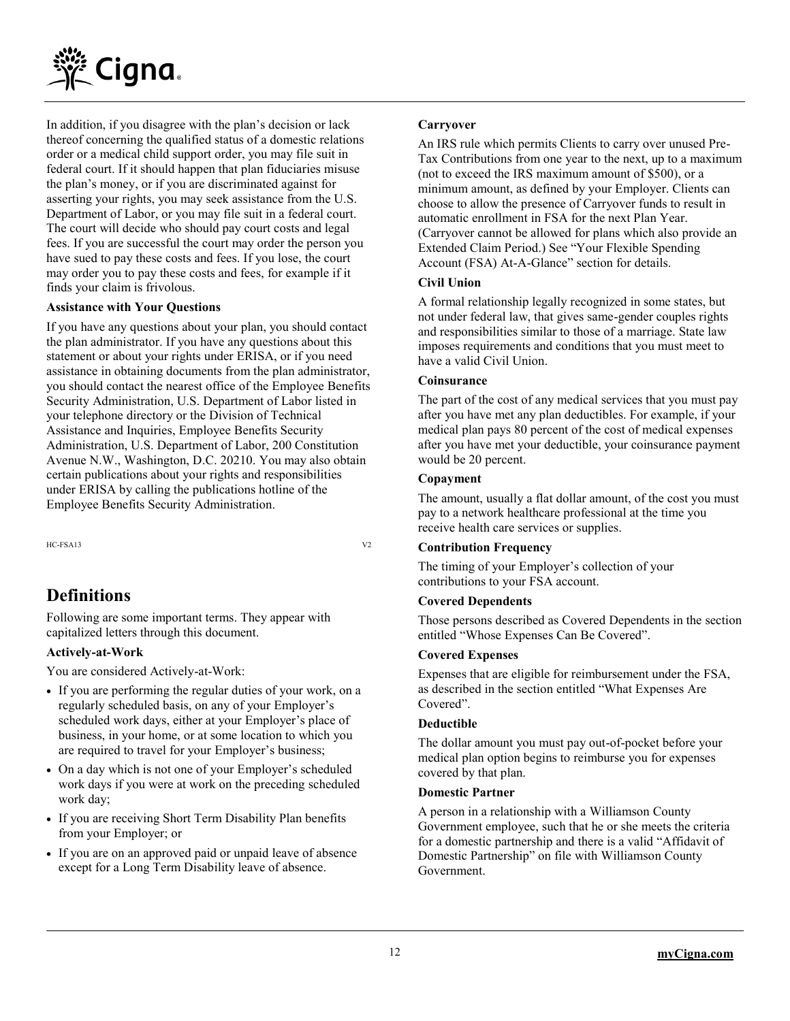

In addition, if you disagree with the plan's decision or lack thereof concerning the qualified status of a domestic relations order or a medical child support order, you may file suit in federal court. If it should happen that plan fiduciaries misuse the plan's money, or if you are discriminated against for asserting your rights, you may seek assistance from the U.S. Department of Labor, or you may file suit in a federal court. The court will decide who should pay court costs and legal fees. If you are successful the court may order the person you have sued to pay these costs and fees. If you lose, the court may order you to pay these costs and fees, for example if it finds your claim is frivolous.

#### **Assistance with Your Questions**

If you have any questions about your plan, you should contact the plan administrator. If you have any questions about this statement or about your rights under ERISA, or if you need assistance in obtaining documents from the plan administrator, you should contact the nearest office of the Employee Benefits Security Administration, U.S. Department of Labor listed in your telephone directory or the Division of Technical Assistance and Inquiries, Employee Benefits Security Administration, U.S. Department of Labor, 200 Constitution Avenue N.W., Washington, D.C. 20210. You may also obtain certain publications about your rights and responsibilities under ERISA by calling the publications hotline of the Employee Benefits Security Administration.

HC-FSA13 V2

## **Definitions**

Following are some important terms. They appear with capitalized letters through this document.

#### **Actively-at-Work**

You are considered Actively-at-Work:

- If you are performing the regular duties of your work, on a regularly scheduled basis, on any of your Employer's scheduled work days, either at your Employer's place of business, in your home, or at some location to which you are required to travel for your Employer's business;
- On a day which is not one of your Employer's scheduled work days if you were at work on the preceding scheduled work day;
- If you are receiving Short Term Disability Plan benefits from your Employer; or
- If you are on an approved paid or unpaid leave of absence except for a Long Term Disability leave of absence.

#### **Carryover**

An IRS rule which permits Clients to carry over unused Pre-Tax Contributions from one year to the next, up to a maximum (not to exceed the IRS maximum amount of \$500), or a minimum amount, as defined by your Employer. Clients can choose to allow the presence of Carryover funds to result in automatic enrollment in FSA for the next Plan Year. (Carryover cannot be allowed for plans which also provide an Extended Claim Period.) See "Your Flexible Spending Account (FSA) At-A-Glance" section for details.

#### **Civil Union**

A formal relationship legally recognized in some states, but not under federal law, that gives same-gender couples rights and responsibilities similar to those of a marriage. State law imposes requirements and conditions that you must meet to have a valid Civil Union.

#### **Coinsurance**

The part of the cost of any medical services that you must pay after you have met any plan deductibles. For example, if your medical plan pays 80 percent of the cost of medical expenses after you have met your deductible, your coinsurance payment would be 20 percent.

#### **Copayment**

The amount, usually a flat dollar amount, of the cost you must pay to a network healthcare professional at the time you receive health care services or supplies.

#### **Contribution Frequency**

The timing of your Employer's collection of your contributions to your FSA account.

#### **Covered Dependents**

Those persons described as Covered Dependents in the section entitled "Whose Expenses Can Be Covered".

#### **Covered Expenses**

Expenses that are eligible for reimbursement under the FSA, as described in the section entitled "What Expenses Are Covered".

#### **Deductible**

The dollar amount you must pay out-of-pocket before your medical plan option begins to reimburse you for expenses covered by that plan.

#### **Domestic Partner**

A person in a relationship with a Williamson County Government employee, such that he or she meets the criteria for a domestic partnership and there is a valid "Affidavit of Domestic Partnership" on file with Williamson County Government.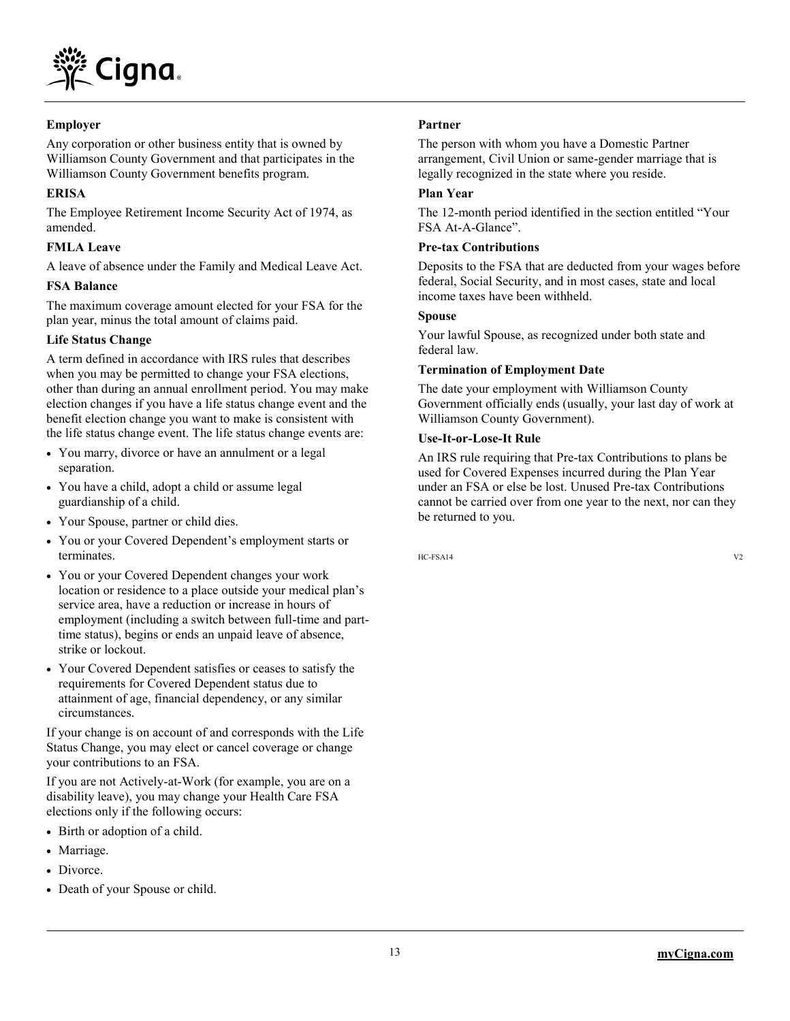

#### **Employer**

Any corporation or other business entity that is owned by Williamson County Government and that participates in the Williamson County Government benefits program.

#### **ERISA**

The Employee Retirement Income Security Act of 1974, as amended.

#### **FMLA Leave**

A leave of absence under the Family and Medical Leave Act.

#### **FSA Balance**

The maximum coverage amount elected for your FSA for the plan year, minus the total amount of claims paid.

#### **Life Status Change**

A term defined in accordance with IRS rules that describes when you may be permitted to change your FSA elections, other than during an annual enrollment period. You may make election changes if you have a life status change event and the benefit election change you want to make is consistent with the life status change event. The life status change events are:

- You marry, divorce or have an annulment or a legal separation.
- You have a child, adopt a child or assume legal guardianship of a child.
- Your Spouse, partner or child dies.
- You or your Covered Dependent's employment starts or terminates.
- You or your Covered Dependent changes your work location or residence to a place outside your medical plan's service area, have a reduction or increase in hours of employment (including a switch between full-time and parttime status), begins or ends an unpaid leave of absence, strike or lockout.
- Your Covered Dependent satisfies or ceases to satisfy the requirements for Covered Dependent status due to attainment of age, financial dependency, or any similar circumstances.

If your change is on account of and corresponds with the Life Status Change, you may elect or cancel coverage or change your contributions to an FSA.

If you are not Actively-at-Work (for example, you are on a disability leave), you may change your Health Care FSA elections only if the following occurs:

- Birth or adoption of a child.
- Marriage.
- Divorce.
- Death of your Spouse or child.

#### **Partner**

The person with whom you have a Domestic Partner arrangement, Civil Union or same-gender marriage that is legally recognized in the state where you reside.

#### **Plan Year**

The 12-month period identified in the section entitled "Your FSA At-A-Glance".

#### **Pre-tax Contributions**

Deposits to the FSA that are deducted from your wages before federal, Social Security, and in most cases, state and local income taxes have been withheld.

#### **Spouse**

Your lawful Spouse, as recognized under both state and federal law.

#### **Termination of Employment Date**

The date your employment with Williamson County Government officially ends (usually, your last day of work at Williamson County Government).

#### **Use-It-or-Lose-It Rule**

An IRS rule requiring that Pre-tax Contributions to plans be used for Covered Expenses incurred during the Plan Year under an FSA or else be lost. Unused Pre-tax Contributions cannot be carried over from one year to the next, nor can they be returned to you.

 $HC-FSA14$   $V2$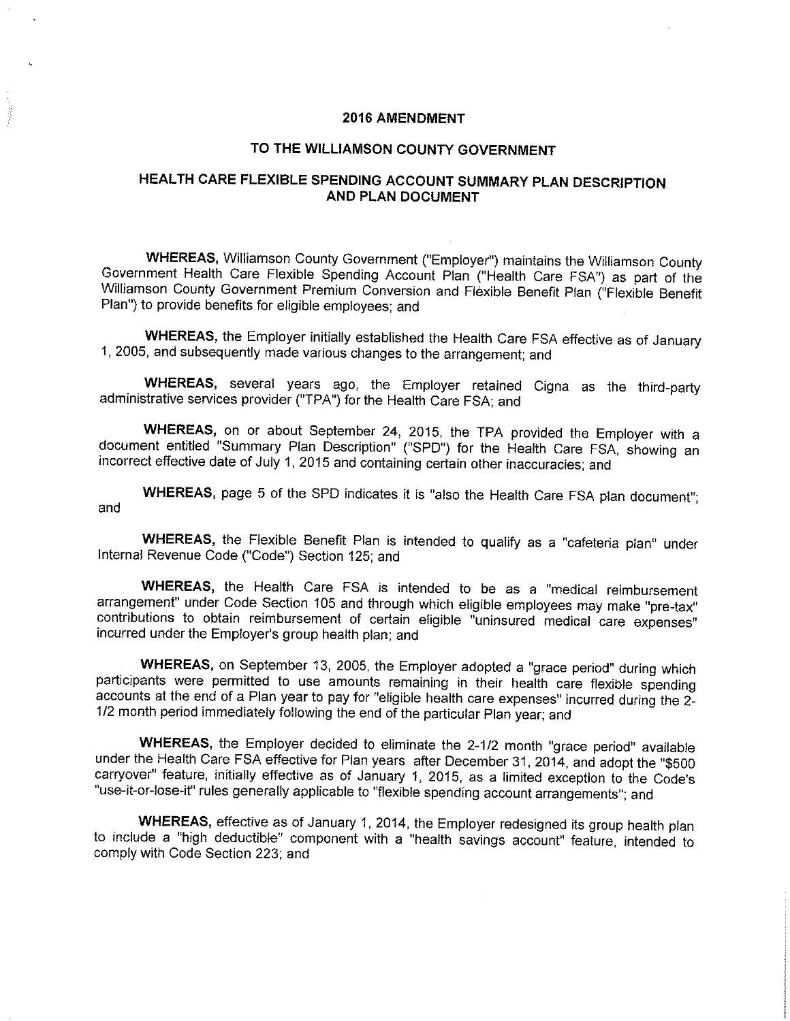#### **2016 AMENDMENT**

#### TO THE WILLIAMSON COUNTY GOVERNMENT

### HEALTH CARE FLEXIBLE SPENDING ACCOUNT SUMMARY PLAN DESCRIPTION **AND PLAN DOCUMENT**

**WHEREAS, Williamson County Government ("Employer") maintains the Williamson County** Government Health Care Flexible Spending Account Plan ("Health Care FSA") as part of the Williamson County Government Premium Conversion and Flexible Benefit Plan ("Flexible Benefit Plan") to provide benefits for eligible employees; and

WHEREAS, the Employer initially established the Health Care FSA effective as of January 1, 2005, and subsequently made various changes to the arrangement; and

WHEREAS, several years ago, the Employer retained Cigna as the third-party administrative services provider ("TPA") for the Health Care FSA; and

WHEREAS, on or about September 24, 2015, the TPA provided the Employer with a document entitled "Summary Plan Description" ("SPD") for the Health Care FSA, showing an incorrect effective date of July 1, 2015 and containing certain other inaccuracies; and

WHEREAS, page 5 of the SPD indicates it is "also the Health Care FSA plan document"; and

WHEREAS, the Flexible Benefit Plan is intended to qualify as a "cafeteria plan" under Internal Revenue Code ("Code") Section 125; and

WHEREAS, the Health Care FSA is intended to be as a "medical reimbursement arrangement" under Code Section 105 and through which eligible employees may make "pre-tax" contributions to obtain reimbursement of certain eligible "uninsured medical care expenses" incurred under the Employer's group health plan; and

WHEREAS, on September 13, 2005, the Employer adopted a "grace period" during which participants were permitted to use amounts remaining in their health care flexible spending accounts at the end of a Plan year to pay for "eligible health care expenses" incurred during the 2-1/2 month period immediately following the end of the particular Plan year; and

WHEREAS, the Employer decided to eliminate the 2-1/2 month "grace period" available under the Health Care FSA effective for Plan years after December 31, 2014, and adopt the "\$500 carryover" feature, initially effective as of January 1, 2015, as a limited exception to the Code's "use-it-or-lose-it" rules generally applicable to "flexible spending account arrangements"; and

WHEREAS, effective as of January 1, 2014, the Employer redesigned its group health plan to include a "high deductible" component with a "health savings account" feature, intended to comply with Code Section 223; and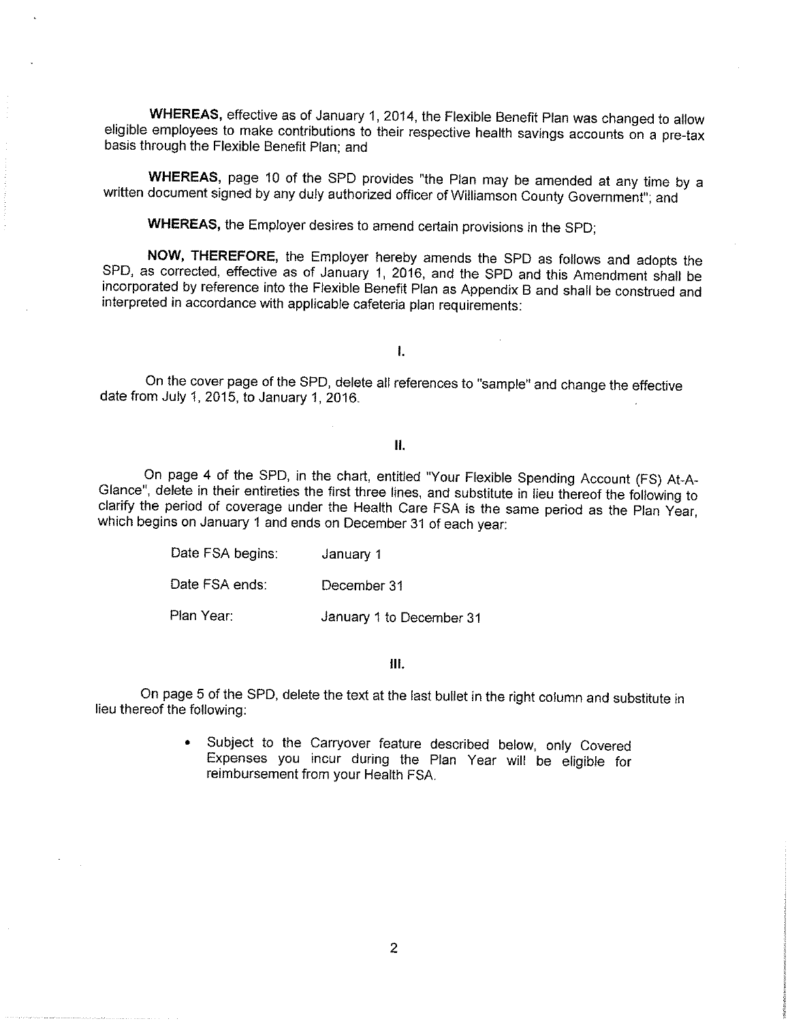WHEREAS, effective as of January 1, 2014, the Flexible Benefit Plan was changed to allow eligible employees to make contributions to their respective health savings accounts on a pre-tax basis through the Flexible Benefit Plan; and

WHEREAS, page 10 of the SPD provides "the Plan may be amended at any time by a written document signed by any duly authorized officer of Williamson County Government", and

WHEREAS, the Employer desires to amend certain provisions in the SPD;

NOW, THEREFORE, the Employer hereby amends the SPD as follows and adopts the SPD, as corrected, effective as of January 1, 2016, and the SPD and this Amendment shall be incorporated by reference into the Flexible Benefit Plan as Appendix B and shall be construed and interpreted in accordance with applicable cafeteria plan requirements:

 $\mathbf{L}$ 

On the cover page of the SPD, delete all references to "sample" and change the effective date from July 1, 2015, to January 1, 2016.

#### $II.$

On page 4 of the SPD, in the chart, entitled "Your Flexible Spending Account (FS) At-A-Glance", delete in their entireties the first three lines, and substitute in lieu thereof the following to clarify the period of coverage under the Health Care FSA is the same period as the Plan Year, which begins on January 1 and ends on December 31 of each year:

| Date FSA begins: | January 1                |
|------------------|--------------------------|
| Date FSA ends:   | December 31              |
| Plan Year:       | January 1 to December 31 |

#### Ⅲ.

On page 5 of the SPD, delete the text at the last bullet in the right column and substitute in lieu thereof the following:

> $\bullet$ Subject to the Carryover feature described below, only Covered Expenses you incur during the Plan Year will be eligible for reimbursement from your Health FSA.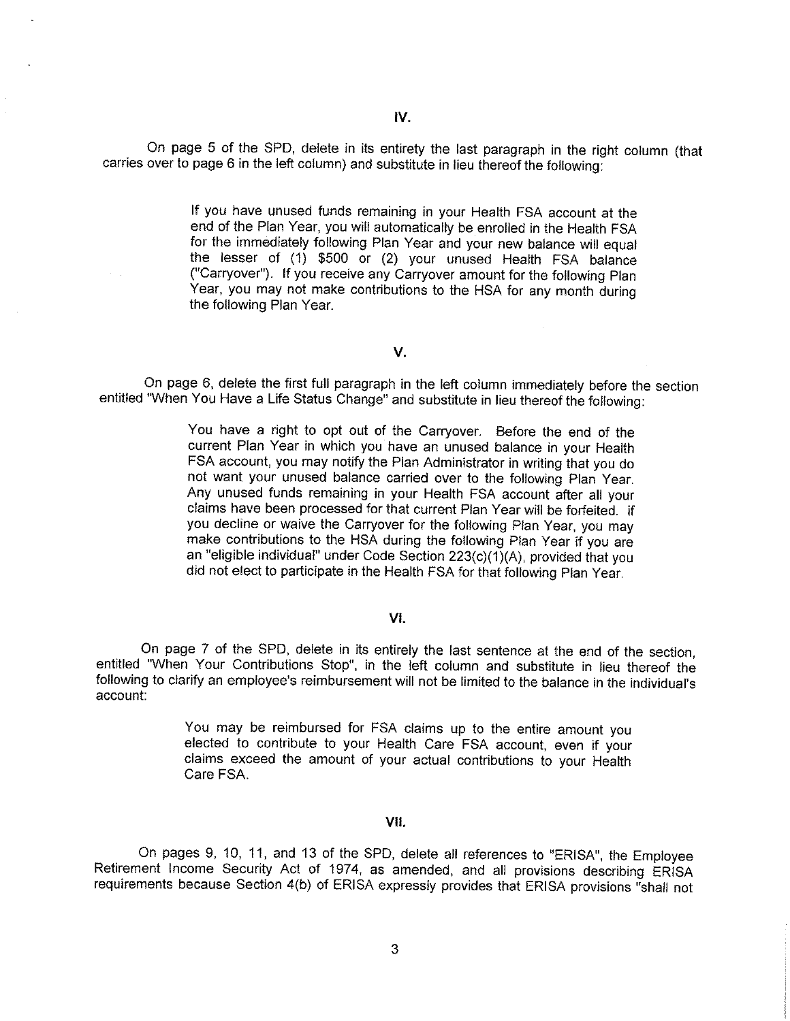On page 5 of the SPD, delete in its entirety the last paragraph in the right column (that carries over to page 6 in the left column) and substitute in lieu thereof the following:

> If you have unused funds remaining in your Health FSA account at the end of the Plan Year, you will automatically be enrolled in the Health FSA for the immediately following Plan Year and your new balance will equal the lesser of (1) \$500 or (2) your unused Health FSA balance ("Carryover"). If you receive any Carryover amount for the following Plan Year, you may not make contributions to the HSA for any month during the following Plan Year.

#### V.

On page 6, delete the first full paragraph in the left column immediately before the section entitled "When You Have a Life Status Change" and substitute in lieu thereof the following:

> You have a right to opt out of the Carryover. Before the end of the current Plan Year in which you have an unused balance in your Health FSA account, you may notify the Plan Administrator in writing that you do not want your unused balance carried over to the following Plan Year. Any unused funds remaining in your Health FSA account after all your claims have been processed for that current Plan Year will be forfeited. if you decline or waive the Carryover for the following Plan Year, you may make contributions to the HSA during the following Plan Year if you are an "eligible individual" under Code Section 223(c)(1)(A), provided that you did not elect to participate in the Health FSA for that following Plan Year.

#### VI.

On page 7 of the SPD, delete in its entirely the last sentence at the end of the section, entitled "When Your Contributions Stop", in the left column and substitute in lieu thereof the following to clarify an employee's reimbursement will not be limited to the balance in the individual's account:

> You may be reimbursed for FSA claims up to the entire amount you elected to contribute to your Health Care FSA account, even if your claims exceed the amount of your actual contributions to your Health Care FSA.

#### VII.

On pages 9, 10, 11, and 13 of the SPD, delete all references to "ERISA", the Employee Retirement Income Security Act of 1974, as amended, and all provisions describing ERISA requirements because Section 4(b) of ERISA expressly provides that ERISA provisions "shall not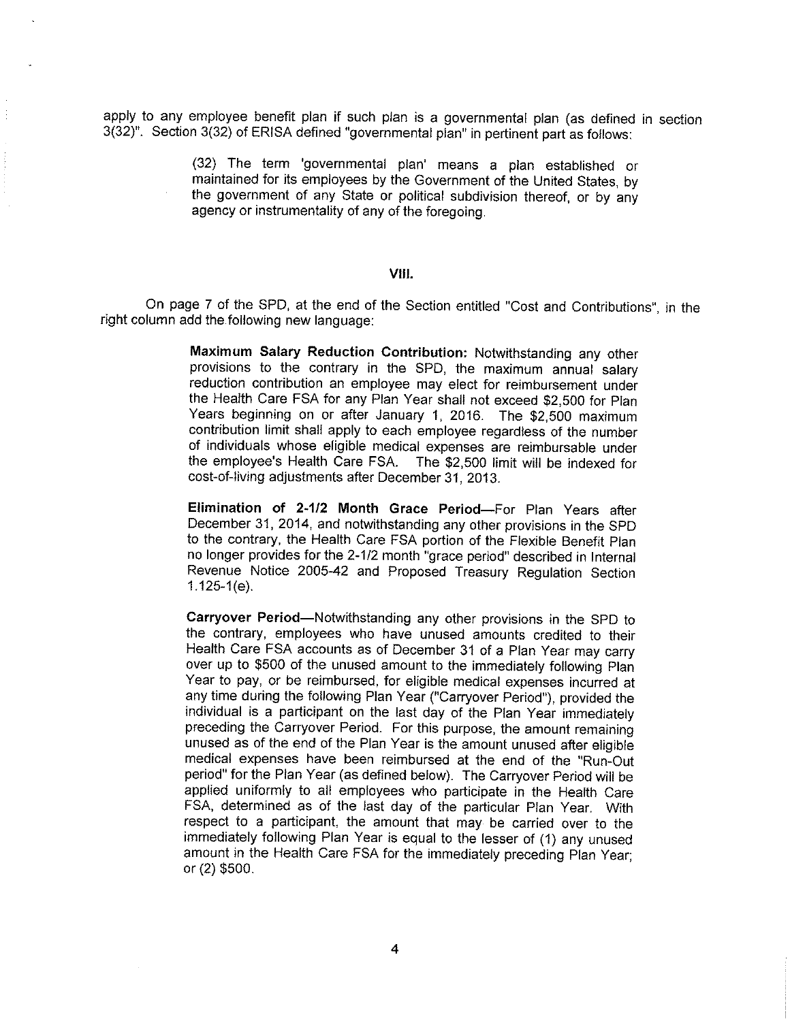apply to any employee benefit plan if such plan is a governmental plan (as defined in section 3(32)". Section 3(32) of ERISA defined "governmental plan" in pertinent part as follows:

> (32) The term 'governmental plan' means a plan established or maintained for its employees by the Government of the United States, by the government of any State or political subdivision thereof, or by any agency or instrumentality of any of the foregoing.

#### VIII.

On page 7 of the SPD, at the end of the Section entitled "Cost and Contributions", in the right column add the following new language:

> Maximum Salary Reduction Contribution: Notwithstanding any other provisions to the contrary in the SPD, the maximum annual salary reduction contribution an employee may elect for reimbursement under the Health Care FSA for any Plan Year shall not exceed \$2,500 for Plan Years beginning on or after January 1, 2016. The \$2,500 maximum contribution limit shall apply to each employee regardless of the number of individuals whose eligible medical expenses are reimbursable under the employee's Health Care FSA. The \$2,500 limit will be indexed for cost-of-living adjustments after December 31, 2013.

> Elimination of 2-1/2 Month Grace Period-For Plan Years after December 31, 2014, and notwithstanding any other provisions in the SPD to the contrary, the Health Care FSA portion of the Flexible Benefit Plan no longer provides for the 2-1/2 month "grace period" described in Internal Revenue Notice 2005-42 and Proposed Treasury Regulation Section  $1.125-1(e)$ .

Carryover Period-Notwithstanding any other provisions in the SPD to the contrary, employees who have unused amounts credited to their Health Care FSA accounts as of December 31 of a Plan Year may carry over up to \$500 of the unused amount to the immediately following Plan Year to pay, or be reimbursed, for eligible medical expenses incurred at any time during the following Plan Year ("Carryover Period"), provided the individual is a participant on the last day of the Plan Year immediately preceding the Carryover Period. For this purpose, the amount remaining unused as of the end of the Plan Year is the amount unused after eligible medical expenses have been reimbursed at the end of the "Run-Out period" for the Plan Year (as defined below). The Carryover Period will be applied uniformly to all employees who participate in the Health Care FSA, determined as of the last day of the particular Plan Year. With respect to a participant, the amount that may be carried over to the immediately following Plan Year is equal to the lesser of (1) any unused amount in the Health Care FSA for the immediately preceding Plan Year: or (2) \$500.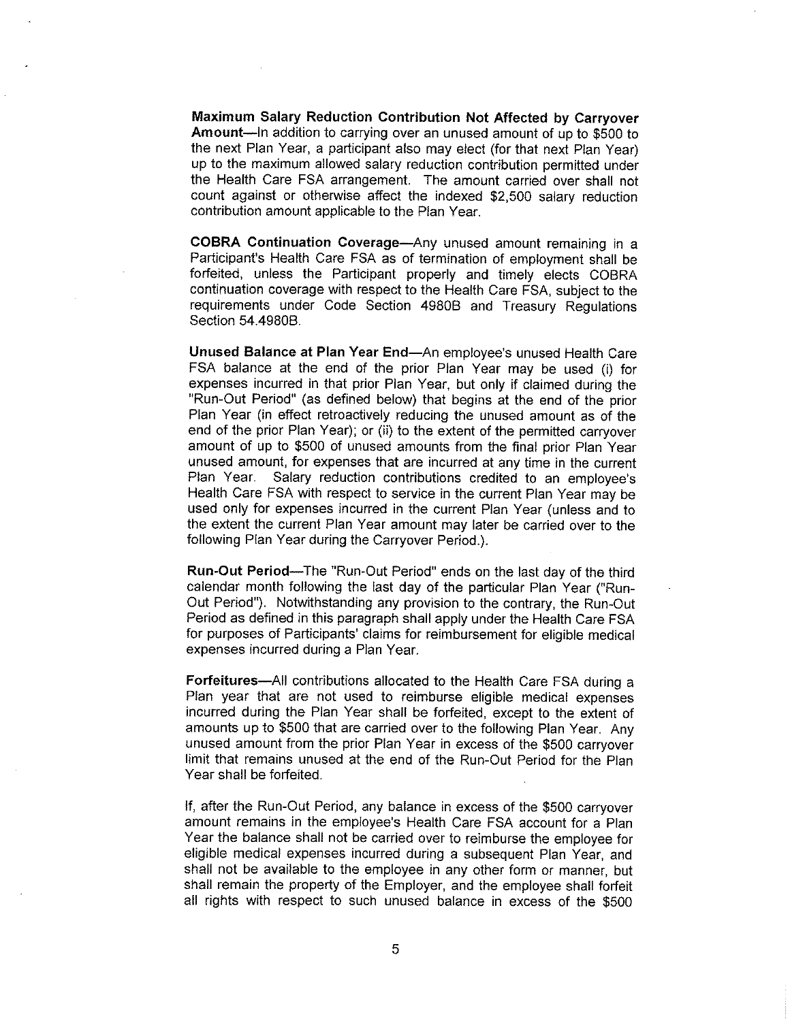Maximum Salary Reduction Contribution Not Affected by Carryover Amount-In addition to carrying over an unused amount of up to \$500 to the next Plan Year, a participant also may elect (for that next Plan Year) up to the maximum allowed salary reduction contribution permitted under the Health Care FSA arrangement. The amount carried over shall not count against or otherwise affect the indexed \$2,500 salary reduction contribution amount applicable to the Plan Year.

COBRA Continuation Coverage-Any unused amount remaining in a Participant's Health Care FSA as of termination of employment shall be forfeited, unless the Participant properly and timely elects COBRA continuation coverage with respect to the Health Care FSA, subject to the requirements under Code Section 4980B and Treasury Regulations Section 54.4980B.

Unused Balance at Plan Year End-An employee's unused Health Care FSA balance at the end of the prior Plan Year may be used (i) for expenses incurred in that prior Plan Year, but only if claimed during the "Run-Out Period" (as defined below) that begins at the end of the prior Plan Year (in effect retroactively reducing the unused amount as of the end of the prior Plan Year); or (ii) to the extent of the permitted carryover amount of up to \$500 of unused amounts from the final prior Plan Year unused amount, for expenses that are incurred at any time in the current Plan Year. Salary reduction contributions credited to an employee's Health Care FSA with respect to service in the current Plan Year may be used only for expenses incurred in the current Plan Year (unless and to the extent the current Plan Year amount may later be carried over to the following Plan Year during the Carryover Period.).

**Run-Out Period—The "Run-Out Period" ends on the last day of the third** calendar month following the last day of the particular Plan Year ("Run-Out Period"). Notwithstanding any provision to the contrary, the Run-Out Period as defined in this paragraph shall apply under the Health Care FSA for purposes of Participants' claims for reimbursement for eligible medical expenses incurred during a Plan Year.

Forfeitures-All contributions allocated to the Health Care FSA during a Plan year that are not used to reimburse eligible medical expenses incurred during the Plan Year shall be forfeited, except to the extent of amounts up to \$500 that are carried over to the following Plan Year. Any unused amount from the prior Plan Year in excess of the \$500 carryover limit that remains unused at the end of the Run-Out Period for the Plan Year shall be forfeited.

If, after the Run-Out Period, any balance in excess of the \$500 carryover amount remains in the employee's Health Care FSA account for a Plan Year the balance shall not be carried over to reimburse the employee for eligible medical expenses incurred during a subsequent Plan Year, and shall not be available to the employee in any other form or manner, but shall remain the property of the Employer, and the employee shall forfeit all rights with respect to such unused balance in excess of the \$500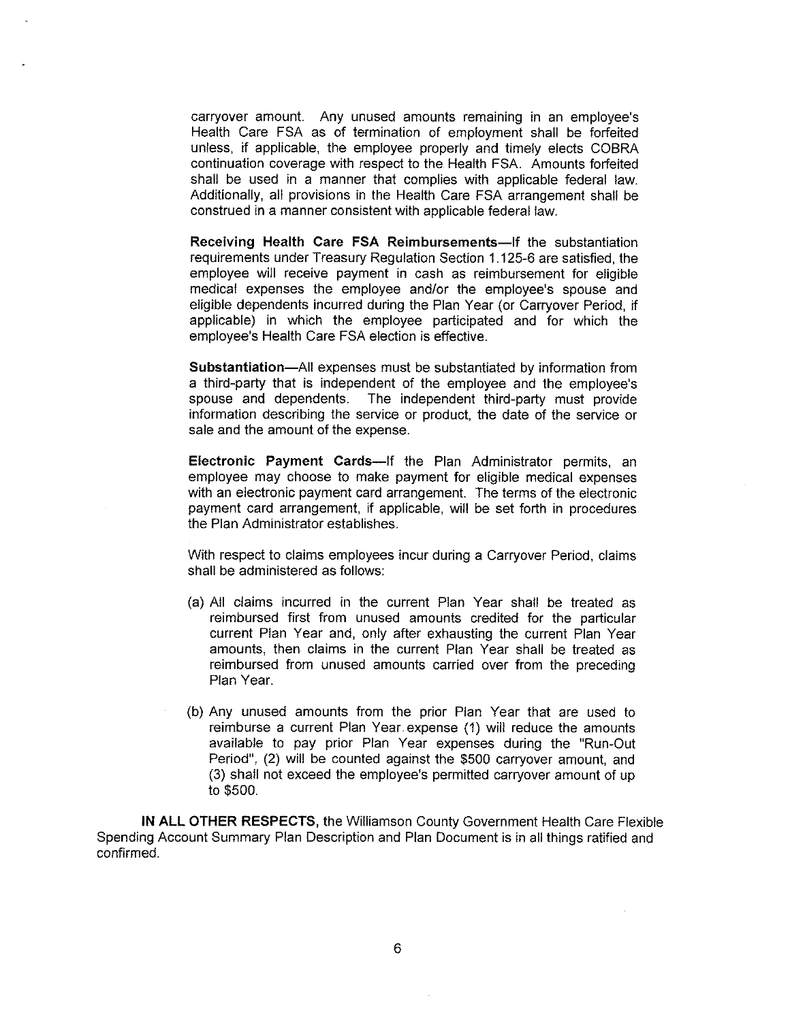carryover amount. Any unused amounts remaining in an employee's Health Care FSA as of termination of employment shall be forfeited unless, if applicable, the employee properly and timely elects COBRA continuation coverage with respect to the Health FSA. Amounts forfeited shall be used in a manner that complies with applicable federal law. Additionally, all provisions in the Health Care FSA arrangement shall be construed in a manner consistent with applicable federal law.

Receiving Health Care FSA Reimbursements-If the substantiation requirements under Treasury Regulation Section 1.125-6 are satisfied, the employee will receive payment in cash as reimbursement for eligible medical expenses the employee and/or the employee's spouse and eligible dependents incurred during the Plan Year (or Carryover Period, if applicable) in which the employee participated and for which the employee's Health Care FSA election is effective.

**Substantiation—All expenses must be substantiated by information from** a third-party that is independent of the employee and the employee's spouse and dependents. The independent third-party must provide information describing the service or product, the date of the service or sale and the amount of the expense.

Electronic Payment Cards-If the Plan Administrator permits, an employee may choose to make payment for eligible medical expenses with an electronic payment card arrangement. The terms of the electronic payment card arrangement, if applicable, will be set forth in procedures the Plan Administrator establishes.

With respect to claims employees incur during a Carryover Period, claims shall be administered as follows:

- (a) All claims incurred in the current Plan Year shall be treated as reimbursed first from unused amounts credited for the particular current Plan Year and, only after exhausting the current Plan Year amounts, then claims in the current Plan Year shall be treated as reimbursed from unused amounts carried over from the preceding Plan Year.
- (b) Any unused amounts from the prior Plan Year that are used to reimburse a current Plan Year expense (1) will reduce the amounts available to pay prior Plan Year expenses during the "Run-Out Period", (2) will be counted against the \$500 carryover amount, and (3) shall not exceed the employee's permitted carryover amount of up to \$500.

**IN ALL OTHER RESPECTS, the Williamson County Government Health Care Flexible** Spending Account Summary Plan Description and Plan Document is in all things ratified and confirmed.